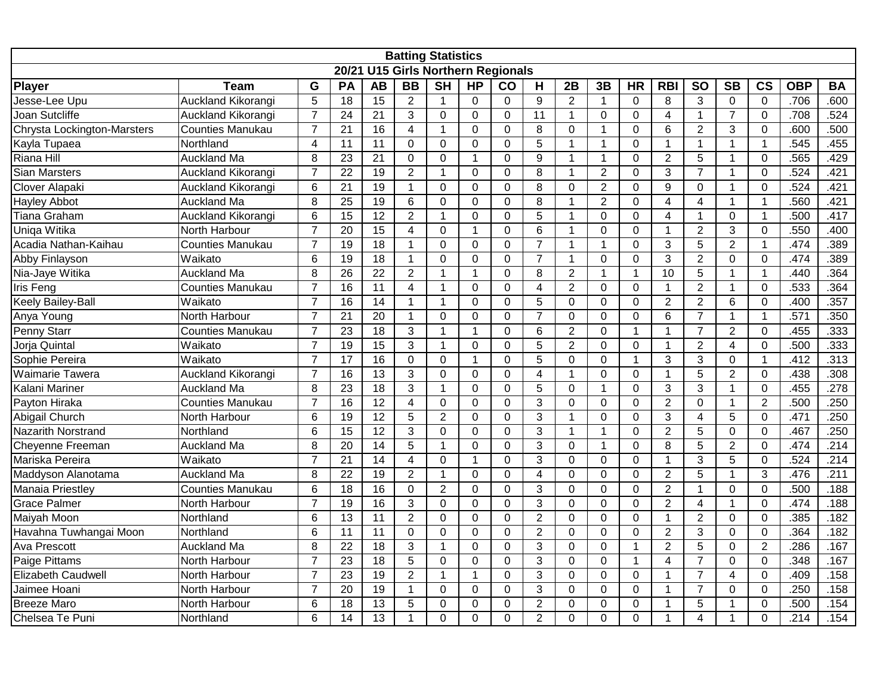| <b>Batting Statistics</b><br>20/21 U15 Girls Northern Regionals |                         |                |                 |                 |                 |                          |                |                |                  |                |                |              |                |                         |                        |                |            |           |
|-----------------------------------------------------------------|-------------------------|----------------|-----------------|-----------------|-----------------|--------------------------|----------------|----------------|------------------|----------------|----------------|--------------|----------------|-------------------------|------------------------|----------------|------------|-----------|
|                                                                 |                         |                |                 |                 |                 |                          |                |                |                  |                |                |              |                |                         |                        |                |            |           |
| <b>Player</b>                                                   | <b>Team</b>             | G              | PA              | <b>AB</b>       | $\overline{BB}$ | $\overline{\mathsf{SH}}$ | H <sub>P</sub> | CO             | H                | 2B             | 3B             | <b>HR</b>    | <b>RBI</b>     | <b>SO</b>               | $\overline{\text{SB}}$ | <b>CS</b>      | <b>OBP</b> | <b>BA</b> |
| Jesse-Lee Upu                                                   | Auckland Kikorangi      | 5              | 18              | 15              | $\overline{2}$  | $\mathbf{1}$             | $\mathbf 0$    | $\mathbf 0$    | $\boldsymbol{9}$ | $\overline{2}$ | $\mathbf{1}$   | $\Omega$     | 8              | 3                       | $\mathbf 0$            | $\mathbf 0$    | .706       | .600      |
| Joan Sutcliffe                                                  | Auckland Kikorangi      | $\overline{7}$ | 24              | 21              | 3               | $\mathbf 0$              | $\mathbf 0$    | $\mathbf 0$    | $\overline{11}$  | $\mathbf{1}$   | $\mathbf 0$    | $\mathbf 0$  | $\overline{4}$ | $\mathbf{1}$            | $\overline{7}$         | $\overline{0}$ | .708       | .524      |
| Chrysta Lockington-Marsters                                     | <b>Counties Manukau</b> | $\overline{7}$ | $\overline{21}$ | 16              | $\overline{4}$  | $\mathbf{1}$             | $\overline{0}$ | $\Omega$       | 8                | $\overline{0}$ | $\mathbf{1}$   | $\mathbf{0}$ | 6              | $\overline{2}$          | 3                      | $\overline{0}$ | .600       | .500      |
| Kayla Tupaea                                                    | Northland               | $\overline{4}$ | 11              | 11              | $\mathbf 0$     | $\overline{0}$           | 0              | $\Omega$       | 5                | 1              | $\mathbf{1}$   | $\mathbf 0$  | 1              | $\mathbf{1}$            | 1                      | $\mathbf{1}$   | .545       | .455      |
| Riana Hill                                                      | Auckland Ma             | 8              | 23              | 21              | $\Omega$        | $\mathbf 0$              | $\mathbf{1}$   | $\Omega$       | 9                | $\mathbf{1}$   | $\mathbf{1}$   | $\Omega$     | $\overline{2}$ | 5                       | 1                      | $\Omega$       | .565       | .429      |
| <b>Sian Marsters</b>                                            | Auckland Kikorangi      | $\overline{7}$ | $\overline{22}$ | 19              | $\overline{2}$  | $\mathbf{1}$             | 0              | $\mathbf 0$    | 8                | $\mathbf{1}$   | $\overline{2}$ | $\mathbf 0$  | 3              | $\overline{7}$          | 1                      | $\mathbf 0$    | .524       | .421      |
| Clover Alapaki                                                  | Auckland Kikorangi      | 6              | $\overline{21}$ | $\overline{19}$ | $\mathbf{1}$    | $\mathbf{0}$             | $\overline{0}$ | $\Omega$       | 8                | $\overline{0}$ | $\overline{2}$ | $\Omega$     | $\overline{9}$ | $\Omega$                | -1                     | $\mathbf{0}$   | .524       | .421      |
| <b>Hayley Abbot</b>                                             | <b>Auckland Ma</b>      | 8              | 25              | 19              | 6               | $\mathbf 0$              | $\mathbf 0$    | $\Omega$       | 8                | $\mathbf 1$    | $\overline{2}$ | $\Omega$     | $\overline{4}$ | 4                       | $\overline{1}$         | $\mathbf{1}$   | .560       | .421      |
| <b>Tiana Graham</b>                                             | Auckland Kikorangi      | 6              | $\overline{15}$ | $\overline{12}$ | $\overline{2}$  | $\mathbf{1}$             | 0              | $\mathbf 0$    | 5                | $\overline{1}$ | $\mathbf 0$    | $\Omega$     | 4              | $\mathbf{1}$            | $\mathbf 0$            | $\mathbf 1$    | .500       | .417      |
| Uniqa Witika                                                    | North Harbour           | $\overline{7}$ | $\overline{20}$ | 15              | 4               | 0                        | $\mathbf{1}$   | $\mathbf{0}$   | $6\phantom{1}6$  | $\overline{1}$ | $\mathbf 0$    | $\mathbf 0$  | $\mathbf{1}$   | $\overline{2}$          | 3                      | $\overline{0}$ | .550       | .400      |
| Acadia Nathan-Kaihau                                            | <b>Counties Manukau</b> | $\overline{7}$ | 19              | 18              | 1               | $\mathbf 0$              | 0              | $\mathbf 0$    | $\overline{7}$   | 1              | $\mathbf{1}$   | $\mathbf 0$  | 3              | 5                       | $\overline{2}$         | $\mathbf{1}$   | .474       | .389      |
| <b>Abby Finlayson</b>                                           | Waikato                 | 6              | 19              | 18              | $\mathbf{1}$    | $\mathbf 0$              | $\Omega$       | $\Omega$       | $\overline{7}$   | $\mathbf 1$    | $\Omega$       | $\Omega$     | 3              | $\overline{2}$          | $\Omega$               | $\Omega$       | .474       | .389      |
| Nia-Jaye Witika                                                 | <b>Auckland Ma</b>      | 8              | 26              | 22              | $\overline{2}$  | $\mathbf{1}$             | $\mathbf{1}$   | $\Omega$       | 8                | $\overline{2}$ | $\mathbf{1}$   | $\mathbf{1}$ | 10             | 5                       | 1                      | $\mathbf{1}$   | .440       | .364      |
| Iris Feng                                                       | Counties Manukau        | $\overline{7}$ | 16              | $\overline{11}$ | $\overline{4}$  | $\mathbf{1}$             | $\Omega$       | $\Omega$       | $\overline{4}$   | $\overline{2}$ | $\mathbf 0$    | $\Omega$     | $\mathbf{1}$   | $\overline{2}$          | $\overline{1}$         | $\Omega$       | .533       | .364      |
| Keely Bailey-Ball                                               | Waikato                 | $\overline{7}$ | 16              | $\overline{14}$ | $\mathbf{1}$    | $\mathbf{1}$             | $\overline{0}$ | $\mathbf 0$    | 5                | $\mathbf 0$    | $\mathbf 0$    | $\mathbf 0$  | $\overline{2}$ | $\overline{2}$          | $6\phantom{1}$         | $\mathbf 0$    | .400       | .357      |
| Anya Young                                                      | North Harbour           | $\overline{7}$ | 21              | $\overline{20}$ | $\mathbf{1}$    | $\mathbf 0$              | $\overline{0}$ | $\Omega$       | $\overline{7}$   | $\overline{0}$ | $\Omega$       | $\Omega$     | 6              | $\overline{7}$          | $\overline{1}$         | $\mathbf 1$    | .571       | .350      |
| Penny Starr                                                     | <b>Counties Manukau</b> | $\overline{7}$ | 23              | 18              | 3               | $\mathbf{1}$             | $\mathbf{1}$   | $\mathbf{0}$   | 6                | $\overline{2}$ | $\overline{0}$ | $\mathbf{1}$ | $\mathbf 1$    | $\overline{7}$          | $\overline{2}$         | $\overline{0}$ | .455       | .333      |
| Jorja Quintal                                                   | Waikato                 | $\overline{7}$ | 19              | 15              | 3               | $\mathbf{1}$             | 0              | $\Omega$       | 5                | $\overline{2}$ | $\mathbf 0$    | $\mathbf 0$  | 1              | $\overline{2}$          | 4                      | $\Omega$       | .500       | .333      |
| Sophie Pereira                                                  | Waikato                 | $\overline{7}$ | 17              | 16              | $\Omega$        | $\mathbf 0$              | $\mathbf{1}$   | $\Omega$       | 5                | 0              | 0              | $\mathbf{1}$ | 3              | 3                       | $\Omega$               | $\mathbf{1}$   | .412       | .313      |
| Waimarie Tawera                                                 | Auckland Kikorangi      | $\overline{7}$ | 16              | $\overline{13}$ | 3               | $\mathbf 0$              | $\Omega$       | $\Omega$       | $\overline{4}$   | $\mathbf 1$    | $\mathbf 0$    | $\Omega$     | $\mathbf{1}$   | 5                       | $\overline{2}$         | $\Omega$       | .438       | .308      |
| Kalani Mariner                                                  | Auckland Ma             | 8              | $\overline{23}$ | 18              | 3               | $\mathbf{1}$             | $\mathbf 0$    | $\mathbf{0}$   | 5                | $\overline{0}$ | $\mathbf{1}$   | $\mathbf 0$  | 3              | 3                       | 1                      | $\mathbf 0$    | .455       | .278      |
| Payton Hiraka                                                   | <b>Counties Manukau</b> | $\overline{7}$ | 16              | 12              | 4               | $\pmb{0}$                | $\Omega$       | $\mathbf 0$    | $\mathbf{3}$     | $\mathbf 0$    | $\mathbf 0$    | $\Omega$     | $\overline{2}$ | $\mathbf 0$             | $\overline{1}$         | $\overline{2}$ | .500       | .250      |
| Abigail Church                                                  | North Harbour           | 6              | $\overline{19}$ | 12              | 5               | $\overline{2}$           | 0              | $\mathbf 0$    | 3                | $\mathbf 1$    | $\mathbf 0$    | $\mathbf 0$  | 3              | $\overline{\mathbf{4}}$ | $\overline{5}$         | $\mathbf 0$    | .471       | .250      |
| <b>Nazarith Norstrand</b>                                       | Northland               | 6              | $\overline{15}$ | $\overline{12}$ | 3               | 0                        | $\overline{0}$ | $\mathbf{0}$   | 3                | $\overline{1}$ | $\mathbf 1$    | $\mathbf 0$  | $\overline{c}$ | 5                       | $\mathbf 0$            | $\overline{0}$ | .467       | .250      |
| Cheyenne Freeman                                                | <b>Auckland Ma</b>      | 8              | 20              | 14              | 5               | $\mathbf{1}$             | $\Omega$       | $\Omega$       | 3                | 0              | $\mathbf 1$    | $\Omega$     | 8              | 5                       | $\overline{2}$         | $\Omega$       | .474       | .214      |
| Mariska Pereira                                                 | Waikato                 | $\overline{7}$ | 21              | 14              | 4               | $\overline{0}$           | $\mathbf 1$    | $\Omega$       | 3                | $\Omega$       | $\Omega$       | $\Omega$     | $\mathbf{1}$   | 3                       | 5                      | $\Omega$       | .524       | .214      |
| Maddyson Alanotama                                              | Auckland Ma             | 8              | 22              | 19              | $\overline{2}$  | $\mathbf{1}$             | $\mathbf 0$    | $\mathbf 0$    | $\overline{4}$   | $\mathbf 0$    | $\mathbf 0$    | $\Omega$     | $\overline{2}$ | 5                       | $\overline{1}$         | 3              | .476       | .211      |
| <b>Manaia Priestley</b>                                         | <b>Counties Manukau</b> | 6              | $\overline{18}$ | 16              | $\overline{0}$  | $\overline{2}$           | $\mathbf 0$    | $\mathbf{0}$   | 3                | $\overline{0}$ | $\overline{0}$ | $\mathbf 0$  | $\overline{2}$ | $\mathbf{1}$            | $\mathbf 0$            | $\mathbf 0$    | .500       | .188      |
| <b>Grace Palmer</b>                                             | North Harbour           | $\overline{7}$ | $\overline{19}$ | 16              | $\overline{3}$  | $\mathbf 0$              | $\overline{0}$ | $\overline{0}$ | $\overline{3}$   | $\overline{0}$ | $\Omega$       | $\Omega$     | $\overline{2}$ | 4                       | $\overline{1}$         | $\overline{0}$ | .474       | .188      |
| Maiyah Moon                                                     | Northland               | 6              | 13              | 11              | $\overline{2}$  | $\mathbf 0$              | 0              | $\mathbf 0$    | $\overline{2}$   | $\mathbf 0$    | $\overline{0}$ | $\mathbf 0$  | $\mathbf{1}$   | $\overline{2}$          | $\mathbf 0$            | $\mathbf 0$    | .385       | .182      |
| Havahna Tuwhangai Moon                                          | Northland               | 6              | 11              | 11              | $\Omega$        | 0                        | $\Omega$       | $\Omega$       | $\overline{2}$   | $\overline{0}$ | $\mathbf 0$    | $\mathbf 0$  | $\overline{c}$ | 3                       | $\mathbf 0$            | $\mathbf 0$    | .364       | .182      |
| <b>Ava Prescott</b>                                             | <b>Auckland Ma</b>      | 8              | 22              | 18              | 3               | $\mathbf{1}$             | 0              | $\mathbf 0$    | 3                | 0              | $\mathbf 0$    | $\mathbf{1}$ | $\overline{2}$ | 5                       | $\mathbf 0$            | $\overline{2}$ | .286       | .167      |
| Paige Pittams                                                   | North Harbour           | $\overline{7}$ | 23              | 18              | 5               | $\mathbf 0$              | $\Omega$       | $\Omega$       | 3                | $\Omega$       | 0              | $\mathbf{1}$ | 4              | $\overline{7}$          | $\Omega$               | $\Omega$       | .348       | .167      |
| <b>Elizabeth Caudwell</b>                                       | North Harbour           | $\overline{7}$ | 23              | 19              | $\overline{2}$  | $\mathbf{1}$             | $\mathbf{1}$   | $\Omega$       | 3                | $\mathbf 0$    | $\mathbf 0$    | $\mathbf 0$  | $\mathbf{1}$   | $\overline{7}$          | 4                      | $\mathbf 0$    | .409       | .158      |
| Jaimee Hoani                                                    | North Harbour           | $\overline{7}$ | $\overline{20}$ | 19              | $\mathbf{1}$    | 0                        | $\mathbf 0$    | 0              | 3                | $\mathbf 0$    | $\mathbf 0$    | $\Omega$     | $\mathbf{1}$   | $\overline{7}$          | $\mathbf 0$            | $\mathbf 0$    | .250       | .158      |
| <b>Breeze Maro</b>                                              | North Harbour           | 6              | 18              | $\overline{13}$ | 5               | $\pmb{0}$                | 0              | $\mathbf 0$    | $\overline{2}$   | $\mathbf 0$    | $\mathbf 0$    | $\mathbf 0$  | 1              | 5                       | 1                      | $\mathbf 0$    | .500       | .154      |
| Chelsea Te Puni                                                 | Northland               | 6              | $\overline{14}$ | 13              | $\mathbf 1$     | $\overline{0}$           | 0              | $\mathbf 0$    | $\overline{2}$   | 0              | $\mathbf 0$    | $\mathbf 0$  | 1              | 4                       | 1                      | $\mathbf 0$    | .214       | .154      |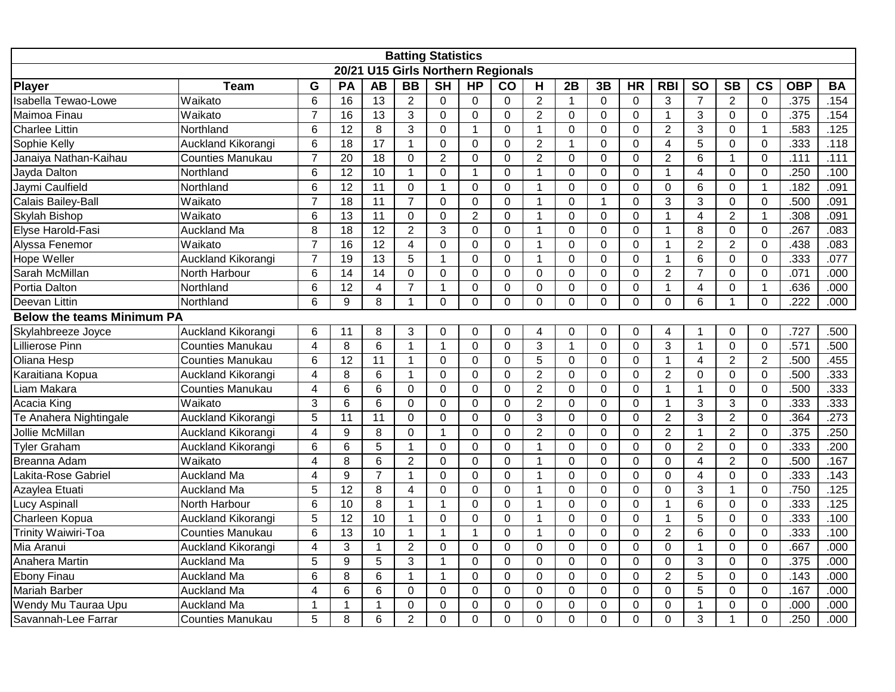|                                   | <b>Batting Statistics</b><br>20/21 U15 Girls Northern Regionals |                         |                  |                 |                |                |                |              |                |                |                |              |                |                |                |                |            |           |
|-----------------------------------|-----------------------------------------------------------------|-------------------------|------------------|-----------------|----------------|----------------|----------------|--------------|----------------|----------------|----------------|--------------|----------------|----------------|----------------|----------------|------------|-----------|
|                                   |                                                                 |                         |                  |                 |                |                |                |              |                |                |                |              |                |                |                |                |            |           |
| <b>Player</b>                     | <b>Team</b>                                                     | G                       | PA               | <b>AB</b>       | <b>BB</b>      | <b>SH</b>      | <b>HP</b>      | co           | H              | 2B             | 3B             | <b>HR</b>    | <b>RBI</b>     | <b>SO</b>      | <b>SB</b>      | $\mathsf{cs}$  | <b>OBP</b> | <b>BA</b> |
| Isabella Tewao-Lowe               | Waikato                                                         | 6                       | 16               | $\overline{13}$ | $\overline{2}$ | $\Omega$       | $\Omega$       | $\Omega$     | 2              | $\mathbf{1}$   | $\mathbf 0$    | $\mathbf{0}$ | 3              | $\overline{7}$ | $\overline{2}$ | $\mathbf 0$    | .375       | .154      |
| Maimoa Finau                      | Waikato                                                         | $\overline{7}$          | 16               | 13              | 3              | $\mathbf 0$    | $\overline{0}$ | $\mathbf{0}$ | $\overline{2}$ | $\overline{0}$ | 0              | $\mathbf 0$  | $\mathbf{1}$   | 3              | $\mathbf 0$    | $\mathbf 0$    | .375       | .154      |
| <b>Charlee Littin</b>             | Northland                                                       | 6                       | $\overline{12}$  | 8               | 3              | $\mathbf 0$    | $\mathbf{1}$   | $\mathbf 0$  | $\mathbf{1}$   | $\mathbf 0$    | 0              | $\mathbf 0$  | $\overline{2}$ | 3              | 0              | $\mathbf{1}$   | .583       | .125      |
| Sophie Kelly                      | Auckland Kikorangi                                              | 6                       | $\overline{18}$  | $\overline{17}$ | $\mathbf{1}$   | $\pmb{0}$      | 0              | 0            | $\overline{2}$ | $\mathbf{1}$   | 0              | $\mathbf 0$  | $\overline{4}$ | 5              | 0              | $\mathbf 0$    | .333       | .118      |
| Janaiya Nathan-Kaihau             | <b>Counties Manukau</b>                                         | $\overline{7}$          | $\overline{20}$  | 18              | $\overline{0}$ | $\overline{2}$ | 0              | 0            | $\overline{2}$ | 0              | 0              | $\mathbf 0$  | $\overline{2}$ | 6              | 1              | $\mathbf 0$    | .111       | .111      |
| Jayda Dalton                      | Northland                                                       | 6                       | $\overline{12}$  | 10              | $\mathbf 1$    | $\overline{0}$ | $\mathbf{1}$   | $\mathbf{0}$ | $\mathbf{1}$   | $\Omega$       | $\overline{0}$ | $\Omega$     | $\mathbf{1}$   | $\overline{4}$ | $\Omega$       | $\mathbf 0$    | .250       | .100      |
| Jaymi Caulfield                   | Northland                                                       | 6                       | $\overline{12}$  | 11              | $\mathbf 0$    | $\mathbf{1}$   | $\overline{0}$ | $\Omega$     | $\overline{1}$ | $\overline{0}$ | $\overline{0}$ | $\mathbf 0$  | $\mathbf{0}$   | 6              | $\mathbf 0$    | $\mathbf{1}$   | .182       | .091      |
| Calais Bailey-Ball                | Waikato                                                         | $\overline{7}$          | 18               | 11              | $\overline{7}$ | $\mathbf 0$    | $\Omega$       | $\Omega$     | $\mathbf 1$    | $\mathbf 0$    | $\mathbf{1}$   | $\Omega$     | 3              | 3              | $\Omega$       | $\mathbf 0$    | .500       | .091      |
| Skylah Bishop                     | Waikato                                                         | $6\phantom{1}6$         | $\overline{13}$  | $\overline{11}$ | $\mathbf 0$    | $\mathbf 0$    | $\overline{2}$ | $\mathbf 0$  | $\mathbf 1$    | 0              | 0              | $\Omega$     | $\mathbf{1}$   | $\overline{4}$ | $\overline{2}$ | 1              | .308       | .091      |
| Elyse Harold-Fasi                 | Auckland Ma                                                     | 8                       | $\overline{18}$  | $\overline{12}$ | $\overline{2}$ | 3              | 0              | 0            | $\mathbf{1}$   | $\overline{0}$ | $\overline{0}$ | $\mathbf 0$  | $\mathbf{1}$   | 8              | 0              | $\mathbf 0$    | .267       | .083      |
| Alyssa Fenemor                    | Waikato                                                         | $\overline{7}$          | 16               | $\overline{12}$ | 4              | $\mathbf 0$    | $\Omega$       | $\Omega$     | $\mathbf 1$    | $\Omega$       | 0              | $\mathbf{0}$ | $\mathbf{1}$   | $\overline{2}$ | $\overline{2}$ | $\mathbf 0$    | .438       | .083      |
| Hope Weller                       | Auckland Kikorangi                                              | $\overline{7}$          | 19               | $\overline{13}$ | 5              | $\mathbf{1}$   | 0              | $\Omega$     | $\mathbf{1}$   | 0              | $\Omega$       | $\mathbf 0$  | $\mathbf{1}$   | 6              | $\Omega$       | $\mathbf 0$    | .333       | .077      |
| Sarah McMillan                    | North Harbour                                                   | 6                       | 14               | $\overline{14}$ | $\Omega$       | $\mathbf 0$    | $\Omega$       | $\mathbf{0}$ | $\mathbf 0$    | $\Omega$       | $\overline{0}$ | $\Omega$     | $\overline{2}$ | $\overline{7}$ | $\mathbf{0}$   | $\mathbf 0$    | .071       | .000      |
| Portia Dalton                     | Northland                                                       | 6                       | 12               | 4               | $\overline{7}$ | $\mathbf{1}$   | 0              | 0            | 0              | $\mathbf 0$    | 0              | $\mathbf 0$  | $\mathbf{1}$   | 4              | 0              | $\mathbf 1$    | .636       | .000      |
| Deevan Littin                     | Northland                                                       | 6                       | 9                | 8               | 1              | $\mathbf 0$    | 0              | $\Omega$     | $\Omega$       | 0              | $\overline{0}$ | $\mathbf 0$  | $\mathbf{0}$   | 6              | 1              | $\mathbf 0$    | .222       | .000      |
| <b>Below the teams Minimum PA</b> |                                                                 |                         |                  |                 |                |                |                |              |                |                |                |              |                |                |                |                |            |           |
| Skylahbreeze Joyce                | Auckland Kikorangi                                              | 6                       | 11               | 8               | $\mathbf{3}$   | $\pmb{0}$      | 0              | $\Omega$     | $\overline{4}$ | $\overline{0}$ | 0              | $\mathbf{0}$ | $\overline{4}$ |                | $\Omega$       | $\overline{0}$ | .727       | .500      |
| Lillierose Pinn                   | <b>Counties Manukau</b>                                         | $\overline{4}$          | 8                | $6\phantom{1}6$ | $\mathbf{1}$   | $\mathbf{1}$   | 0              | 0            | 3              | $\mathbf{1}$   | 0              | $\mathbf 0$  | 3              | $\mathbf{1}$   | $\mathbf 0$    | $\mathbf 0$    | .571       | .500      |
| Oliana Hesp                       | <b>Counties Manukau</b>                                         | 6                       | $\overline{12}$  | $\overline{11}$ | $\mathbf 1$    | $\mathbf 0$    | 0              | 0            | $\overline{5}$ | 0              | 0              | $\mathbf 0$  | $\mathbf{1}$   | $\overline{4}$ | $\overline{2}$ | $\overline{2}$ | .500       | .455      |
| Karaitiana Kopua                  | Auckland Kikorangi                                              | 4                       | 8                | 6               | $\mathbf{1}$   | $\mathbf 0$    | $\overline{0}$ | $\Omega$     | $\overline{2}$ | $\overline{0}$ | $\Omega$       | $\mathbf 0$  | $\overline{2}$ | $\Omega$       | $\Omega$       | $\mathbf 0$    | .500       | .333      |
| Liam Makara                       | <b>Counties Manukau</b>                                         | $\overline{4}$          | $6\phantom{1}6$  | $6\phantom{1}6$ | $\Omega$       | $\mathbf 0$    | $\overline{0}$ | $\mathbf{0}$ | $\overline{2}$ | $\overline{0}$ | $\overline{0}$ | $\Omega$     | $\mathbf{1}$   | $\mathbf{1}$   | $\Omega$       | $\mathbf 0$    | .500       | .333      |
| Acacia King                       | Waikato                                                         | 3                       | $6\phantom{1}6$  | $6\phantom{1}6$ | $\Omega$       | $\mathbf 0$    | 0              | $\mathbf{0}$ | $\overline{2}$ | $\overline{0}$ | $\Omega$       | $\mathbf 0$  | $\mathbf{1}$   | 3              | 3              | $\mathbf 0$    | .333       | .333      |
| Te Anahera Nightingale            | Auckland Kikorangi                                              | 5                       | 11               | 11              | $\Omega$       | $\mathbf 0$    | $\mathbf 0$    | $\Omega$     | 3              | $\mathbf 0$    | $\mathbf 0$    | $\Omega$     | $\overline{2}$ | 3              | $\overline{2}$ | $\mathbf 0$    | .364       | .273      |
| Jollie McMillan                   | Auckland Kikorangi                                              | $\overline{\mathbf{4}}$ | 9                | 8               | $\mathbf 0$    | $\mathbf{1}$   | 0              | 0            | $\overline{2}$ | $\mathbf 0$    | 0              | $\mathbf 0$  | $\overline{2}$ | $\mathbf{1}$   | $\overline{2}$ | $\mathbf 0$    | .375       | .250      |
| <b>Tyler Graham</b>               | Auckland Kikorangi                                              | 6                       | 6                | 5               | $\mathbf{1}$   | $\mathbf 0$    | 0              | 0            | $\mathbf{1}$   | $\overline{0}$ | $\overline{0}$ | $\mathbf 0$  | $\mathbf 0$    | $\overline{2}$ | 0              | $\mathbf 0$    | .333       | .200      |
| Breanna Adam                      | Waikato                                                         | 4                       | $\overline{8}$   | 6               | $\overline{2}$ | $\mathbf 0$    | $\Omega$       | $\Omega$     | $\mathbf 1$    | $\Omega$       | 0              | $\mathbf{0}$ | $\mathbf 0$    | 4              | $\overline{2}$ | $\mathbf 0$    | .500       | .167      |
| Lakita-Rose Gabriel               | <b>Auckland Ma</b>                                              | 4                       | 9                | $\overline{7}$  | $\mathbf{1}$   | $\mathbf 0$    | $\overline{0}$ | $\Omega$     | $\mathbf{1}$   | 0              | $\overline{0}$ | $\mathbf 0$  | $\mathbf{0}$   | 4              | $\Omega$       | $\mathbf 0$    | .333       | .143      |
| Azaylea Etuati                    | <b>Auckland Ma</b>                                              | 5                       | 12               | 8               | $\overline{4}$ | $\overline{0}$ | $\Omega$       | $\Omega$     | $\mathbf{1}$   | $\Omega$       | $\Omega$       | $\Omega$     | $\mathbf 0$    | 3              | 1              | $\mathbf 0$    | .750       | .125      |
| <b>Lucy Aspinall</b>              | North Harbour                                                   | 6                       | 10               | 8               | 1              | $\mathbf{1}$   | 0              | $\Omega$     | $\mathbf{1}$   | $\mathbf 0$    | 0              | $\mathbf 0$  | $\mathbf{1}$   | 6              | 0              | $\mathbf 0$    | .333       | .125      |
| Charleen Kopua                    | Auckland Kikorangi                                              | 5                       | $\overline{12}$  | 10              | $\mathbf 1$    | $\mathbf 0$    | 0              | $\mathbf 0$  | $\mathbf{1}$   | $\overline{0}$ | $\overline{0}$ | $\mathbf 0$  | $\mathbf{1}$   | 5              | $\mathbf 0$    | $\mathbf 0$    | .333       | .100      |
| <b>Trinity Waiwiri-Toa</b>        | <b>Counties Manukau</b>                                         | 6                       | $\overline{13}$  | 10              | $\mathbf{1}$   | $\mathbf{1}$   | $\mathbf{1}$   | $\Omega$     | $\mathbf 1$    | $\overline{0}$ | $\mathbf 0$    | $\mathbf 0$  | $\overline{2}$ | 6              | $\Omega$       | $\mathbf 0$    | .333       | .100      |
| Mia Aranui                        | Auckland Kikorangi                                              | $\overline{4}$          | 3                | $\overline{1}$  | $\overline{2}$ | $\mathbf 0$    | 0              | $\mathbf 0$  | $\mathbf 0$    | 0              | $\overline{0}$ | $\mathbf 0$  | $\mathbf{0}$   | $\mathbf{1}$   | $\mathbf 0$    | $\mathbf 0$    | .667       | .000      |
| Anahera Martin                    | Auckland Ma                                                     | 5                       | $\boldsymbol{9}$ | 5               | 3              | $\mathbf{1}$   | 0              | 0            | $\mathbf 0$    | $\overline{0}$ | 0              | $\mathbf 0$  | $\pmb{0}$      | 3              | 0              | $\overline{0}$ | .375       | .000      |
| <b>Ebony Finau</b>                | <b>Auckland Ma</b>                                              | 6                       | 8                | 6               | $\mathbf{1}$   | $\mathbf{1}$   | 0              | $\mathbf 0$  | $\mathbf 0$    | 0              | 0              | $\mathbf 0$  | $\overline{2}$ | 5              | $\Omega$       | $\mathbf 0$    | .143       | .000      |
| <b>Mariah Barber</b>              | Auckland Ma                                                     | $\overline{4}$          | $\overline{6}$   | $\overline{6}$  | $\mathbf 0$    | $\mathbf 0$    | $\overline{0}$ | 0            | $\mathbf 0$    | $\overline{0}$ | 0              | $\mathbf 0$  | $\mathbf 0$    | $\overline{5}$ | 0              | $\mathbf 0$    | .167       | .000      |
| Wendy Mu Tauraa Upu               | <b>Auckland Ma</b>                                              | 1                       | 1                | $\mathbf{1}$    | $\mathbf 0$    | $\mathbf 0$    | 0              | 0            | $\mathbf 0$    | 0              | $\mathbf 0$    | $\mathbf 0$  | $\mathbf 0$    | $\mathbf{1}$   | 0              | $\mathbf 0$    | .000       | .000      |
| Savannah-Lee Farrar               | <b>Counties Manukau</b>                                         | 5                       | 8                | 6               | $\overline{2}$ | $\mathbf 0$    | 0              | $\Omega$     | $\Omega$       | $\Omega$       | $\overline{0}$ | $\Omega$     | $\Omega$       | 3              | 1              | $\Omega$       | .250       | .000      |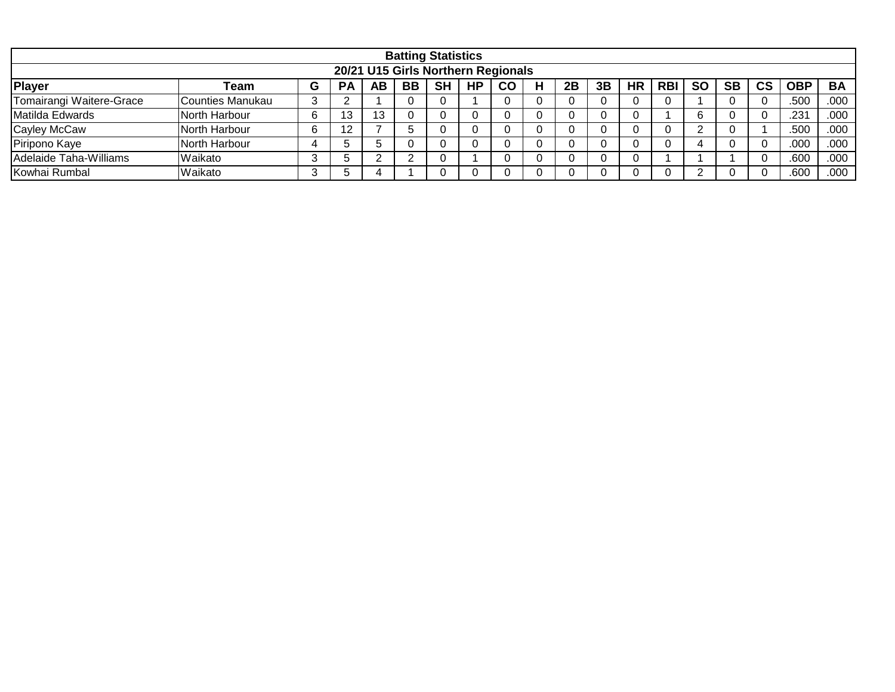|                                    |                  |   |           |     |    | <b>Batting Statistics</b> |           |    |   |    |    |           |            |           |           |    |      |           |
|------------------------------------|------------------|---|-----------|-----|----|---------------------------|-----------|----|---|----|----|-----------|------------|-----------|-----------|----|------|-----------|
| 20/21 U15 Girls Northern Regionals |                  |   |           |     |    |                           |           |    |   |    |    |           |            |           |           |    |      |           |
| Player                             | Team             | G | <b>PA</b> | AB  | BB | <b>SH</b>                 | <b>HP</b> | CO | Н | 2B | 3B | <b>HR</b> | <b>RBI</b> | <b>SO</b> | <b>SB</b> | CS | OBP  | <b>BA</b> |
| Tomairangi Waitere-Grace           | Counties Manukau |   |           |     |    |                           |           |    |   |    |    |           |            |           |           |    | .500 | .000      |
| Matilda Edwards                    | North Harbour    |   | 13        | כ ו |    |                           |           |    |   |    |    |           |            |           |           |    | .231 | .000      |
| Cayley McCaw                       | North Harbour    |   |           |     |    |                           |           |    |   |    |    |           |            |           |           |    | .500 | .000      |
| Piripono Kaye                      | North Harbour    |   |           |     |    |                           |           |    |   |    |    |           |            |           |           |    | .000 | .000      |
| Adelaide Taha-Williams             | Waikato          |   |           |     |    |                           |           |    |   |    |    |           |            |           |           |    | .600 | .000      |
| Kowhai Rumbal                      | Waikato          |   |           |     |    |                           |           |    |   |    |    |           |            |           |           |    | .600 | .000      |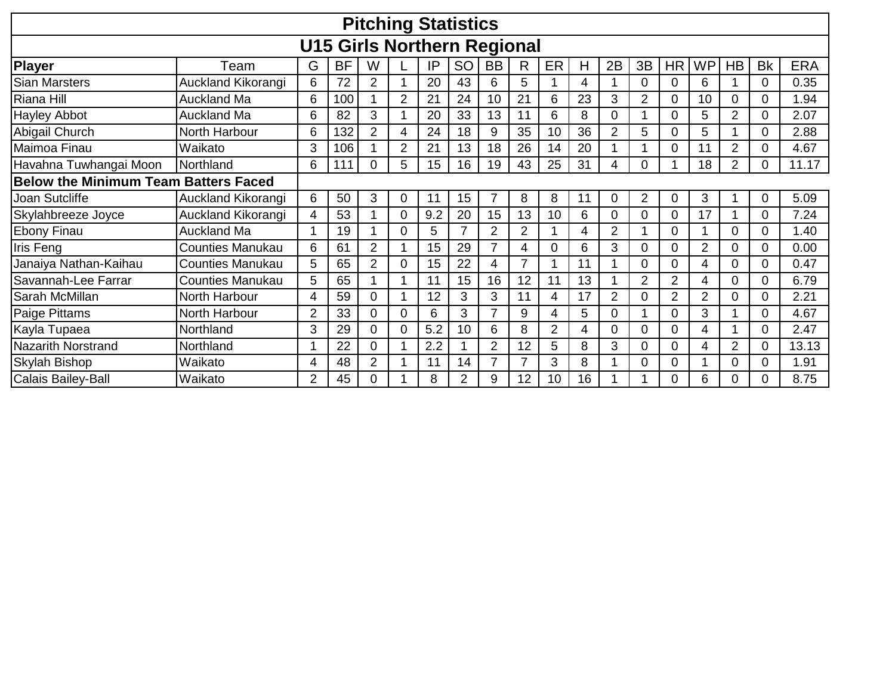|                                             |                                    |                |           |                |                | <b>Pitching Statistics</b> |    |                |    |    |    |                |                |                |                |                |           |            |
|---------------------------------------------|------------------------------------|----------------|-----------|----------------|----------------|----------------------------|----|----------------|----|----|----|----------------|----------------|----------------|----------------|----------------|-----------|------------|
|                                             | <b>U15 Girls Northern Regional</b> |                |           |                |                |                            |    |                |    |    |    |                |                |                |                |                |           |            |
| Player                                      | Team                               | G              | <b>BF</b> | W              |                | IP                         | SO | BB             | R. | ER | H  | 2B             | 3B             | HR             | <b>WP</b>      | <b>HB</b>      | <b>Bk</b> | <b>ERA</b> |
| <b>Sian Marsters</b>                        | Auckland Kikorangi                 | 6              | 72        | 2              |                | 20                         | 43 | 6              | 5  |    | 4  |                | 0              | $\Omega$       | 6              |                | 0         | 0.35       |
| Riana Hill                                  | <b>Auckland Ma</b>                 | 6              | 100       |                | 2              | 21                         | 24 | 10             | 21 | 6  | 23 | 3              | $\overline{2}$ | 0              | 10             | 0              |           | 1.94       |
| <b>Hayley Abbot</b>                         | Auckland Ma                        | 6              | 82        | 3              |                | 20                         | 33 | 13             | 11 | 6  | 8  | 0              |                | 0              | 5              | $\overline{2}$ | 0         | 2.07       |
| Abigail Church                              | North Harbour                      | 6              | 132       | $\overline{2}$ | 4              | 24                         | 18 | 9              | 35 | 10 | 36 | $\overline{2}$ | 5              | 0              | 5              |                | 0         | 2.88       |
| Maimoa Finau                                | Waikato                            | 3              | 106       |                | $\overline{2}$ | 21                         | 13 | 18             | 26 | 14 | 20 |                |                | $\Omega$       | 11             | $\overline{2}$ |           | 4.67       |
| Havahna Tuwhangai Moon                      | Northland                          | 6              | 111       | 0              | 5              | 15                         | 16 | 19             | 43 | 25 | 31 | 4              | 0              |                | 18             | 2              | 0         | 11.17      |
| <b>Below the Minimum Team Batters Faced</b> |                                    |                |           |                |                |                            |    |                |    |    |    |                |                |                |                |                |           |            |
| Joan Sutcliffe                              | Auckland Kikorangi                 | 6              | 50        | 3              | 0              | 11                         | 15 | 7              | 8  | 8  | 11 | 0              | 2              | 0              | 3              |                | 0         | 5.09       |
| Skylahbreeze Joyce                          | Auckland Kikorangi                 | 4              | 53        |                |                | 9.2                        | 20 | 15             | 13 | 10 | 6  | 0              |                | $\Omega$       | 17             |                |           | 7.24       |
| <b>Ebony Finau</b>                          | <b>Auckland Ma</b>                 |                | 19        | 1              | 0              | 5                          | 7  | 2              | 2  |    | 4  | 2              |                | 0              |                | 0              |           | 1.40       |
| Iris Feng                                   | <b>Counties Manukau</b>            | 6              | 61        | $\overline{2}$ |                | 15                         | 29 | $\overline{7}$ | 4  |    | 6  | 3              |                | 0              | $\overline{2}$ | 0              |           | 0.00       |
| Janaiya Nathan-Kaihau                       | <b>Counties Manukau</b>            | 5              | 65        | $\overline{2}$ |                | 15                         | 22 | 4              |    |    | 11 |                | 0              | 0              | 4              | 0              |           | 0.47       |
| Savannah-Lee Farrar                         | <b>Counties Manukau</b>            | 5              | 65        |                |                | 11                         | 15 | 16             | 12 | 11 | 13 |                | 2              | 2              | 4              | 0              |           | 6.79       |
| <b>Sarah McMillan</b>                       | North Harbour                      | 4              | 59        | 0              |                | 12                         | 3  | 3              | 11 | 4  | 17 | $\overline{2}$ |                | $\overline{2}$ | $\overline{2}$ | 0              | 0         | 2.21       |
| Paige Pittams                               | North Harbour                      | $\overline{2}$ | 33        | 0              | 0              | 6                          | 3  | $\overline{7}$ | 9  | 4  | 5  | 0              |                | 0              | 3              | $\overline{A}$ | 0         | 4.67       |
| Kayla Tupaea                                | Northland                          | 3              | 29        | 0              |                | 5.2                        | 10 | 6              | 8  | 2  | 4  | 0              |                | 0              | 4              |                |           | 2.47       |
| <b>Nazarith Norstrand</b>                   | Northland                          |                | 22        | 0              |                | 2.2                        |    | $\overline{2}$ | 12 | 5  | 8  | 3              | 0              | 0              | 4              | $\overline{2}$ | 0         | 13.13      |
| Skylah Bishop                               | Waikato                            | 4              | 48        | 2              |                | 11                         | 14 | 7              |    | 3  | 8  |                |                | 0              |                | 0              |           | 1.91       |
| Calais Bailey-Ball                          | Waikato                            | 2              | 45        | 0              |                | 8                          | 2  | 9              | 12 | 10 | 16 |                |                |                | 6              | 0              |           | 8.75       |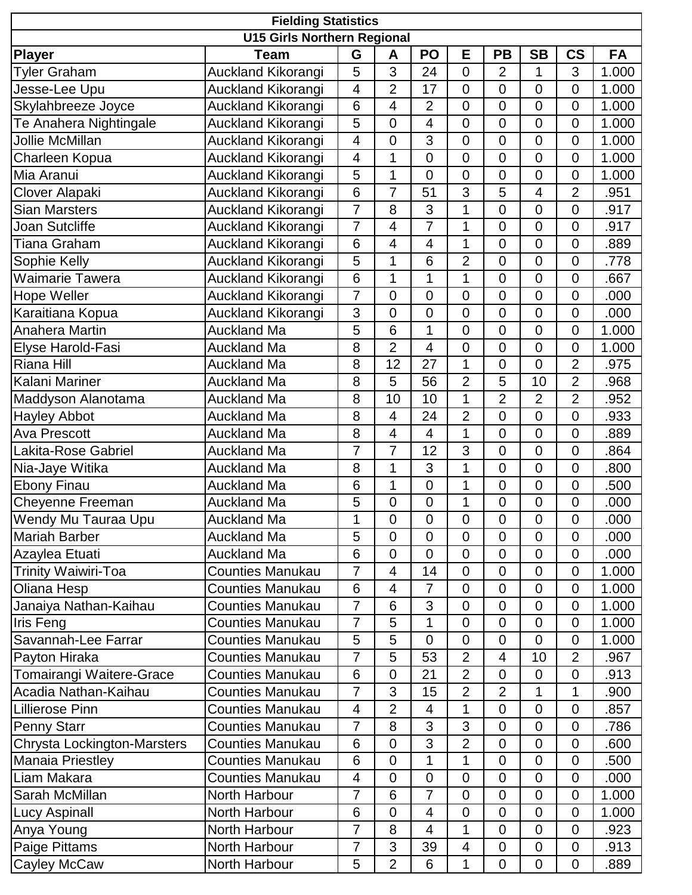| <b>Fielding Statistics</b><br><b>U15 Girls Northern Regional</b> |                           |                 |                          |                  |                |                |                  |                |       |  |  |  |
|------------------------------------------------------------------|---------------------------|-----------------|--------------------------|------------------|----------------|----------------|------------------|----------------|-------|--|--|--|
|                                                                  |                           |                 |                          |                  |                |                |                  |                |       |  |  |  |
| <b>Player</b>                                                    | <b>Team</b>               | G               | A                        | PO               | E              | <b>PB</b>      | <b>SB</b>        | <b>CS</b>      | FA    |  |  |  |
| <b>Tyler Graham</b>                                              | <b>Auckland Kikorangi</b> | 5               | 3                        | 24               | $\overline{0}$ | $\overline{2}$ | 1                | 3              | 1.000 |  |  |  |
| Jesse-Lee Upu                                                    | Auckland Kikorangi        | 4               | $\overline{2}$           | 17               | $\mathbf 0$    | $\mathbf 0$    | $\overline{0}$   | 0              | 1.000 |  |  |  |
| Skylahbreeze Joyce                                               | <b>Auckland Kikorangi</b> | 6               | $\overline{\mathcal{L}}$ | $\overline{2}$   | $\overline{0}$ | $\mathbf 0$    | $\overline{0}$   | $\mathbf 0$    | 1.000 |  |  |  |
| Te Anahera Nightingale                                           | Auckland Kikorangi        | 5               | $\overline{0}$           | 4                | $\overline{0}$ | $\mathbf 0$    | $\overline{0}$   | $\mathbf 0$    | 1.000 |  |  |  |
| <b>Jollie McMillan</b>                                           | <b>Auckland Kikorangi</b> | $\overline{4}$  | 0                        | 3                | $\overline{0}$ | $\overline{0}$ | $\overline{0}$   | $\mathbf 0$    | 1.000 |  |  |  |
| Charleen Kopua                                                   | Auckland Kikorangi        | $\overline{4}$  | $\mathbf{1}$             | $\overline{0}$   | $\overline{0}$ | $\overline{0}$ | $\overline{0}$   | $\overline{0}$ | 1.000 |  |  |  |
| Mia Aranui                                                       | Auckland Kikorangi        | 5               | 1                        | $\overline{0}$   | $\overline{0}$ | $\overline{0}$ | $\overline{0}$   | $\mathbf 0$    | 1.000 |  |  |  |
| <b>Clover Alapaki</b>                                            | Auckland Kikorangi        | $6\phantom{1}$  | $\overline{7}$           | 51               | 3              | 5              | 4                | $\overline{2}$ | .951  |  |  |  |
| <b>Sian Marsters</b>                                             | Auckland Kikorangi        | $\overline{7}$  | 8                        | 3                | 1              | $\mathbf 0$    | $\overline{0}$   | $\mathbf 0$    | .917  |  |  |  |
| Joan Sutcliffe                                                   | Auckland Kikorangi        | $\overline{7}$  | $\overline{4}$           | $\overline{7}$   | 1              | $\overline{0}$ | $\overline{0}$   | $\overline{0}$ | .917  |  |  |  |
| Tiana Graham                                                     | Auckland Kikorangi        | 6               | 4                        | 4                | 1              | $\mathbf 0$    | $\overline{0}$   | $\mathbf 0$    | .889  |  |  |  |
| Sophie Kelly                                                     | <b>Auckland Kikorangi</b> | 5               | 1                        | 6                | $\overline{2}$ | $\overline{0}$ | $\overline{0}$   | $\overline{0}$ | .778  |  |  |  |
| <b>Waimarie Tawera</b>                                           | Auckland Kikorangi        | 6               | 1                        | 1                | 1              | $\mathbf 0$    | $\mathbf 0$      | $\mathbf 0$    | .667  |  |  |  |
| Hope Weller                                                      | <b>Auckland Kikorangi</b> | $\overline{7}$  | $\overline{0}$           | $\overline{0}$   | $\overline{0}$ | $\mathbf 0$    | $\overline{0}$   | $\mathbf 0$    | .000  |  |  |  |
| Karaitiana Kopua                                                 | Auckland Kikorangi        | 3               | $\mathbf 0$              | $\overline{0}$   | $\overline{0}$ | $\mathbf 0$    | $\overline{0}$   | $\mathbf 0$    | .000  |  |  |  |
| Anahera Martin                                                   | <b>Auckland Ma</b>        | 5               | 6                        | 1                | $\overline{0}$ | $\overline{0}$ | $\overline{0}$   | $\overline{0}$ | 1.000 |  |  |  |
| Elyse Harold-Fasi                                                | <b>Auckland Ma</b>        | 8               | $\overline{2}$           | 4                | $\overline{0}$ | $\overline{0}$ | $\overline{0}$   | $\mathbf 0$    | 1.000 |  |  |  |
| <b>Riana Hill</b>                                                | <b>Auckland Ma</b>        | 8               | 12                       | 27               | $\overline{1}$ | $\overline{0}$ | $\overline{0}$   | $\overline{2}$ | .975  |  |  |  |
| Kalani Mariner                                                   | Auckland Ma               | 8               | 5                        | 56               | $\overline{2}$ | 5              | 10               | $\overline{2}$ | .968  |  |  |  |
| Maddyson Alanotama                                               | <b>Auckland Ma</b>        | 8               | 10                       | 10               | 1              | $\overline{2}$ | $\overline{2}$   | $\overline{2}$ | .952  |  |  |  |
| Hayley Abbot                                                     | Auckland Ma               | 8               | $\overline{4}$           | 24               | $\overline{2}$ | $\overline{0}$ | $\overline{0}$   | $\overline{0}$ | .933  |  |  |  |
| <b>Ava Prescott</b>                                              | <b>Auckland Ma</b>        | 8               | 4                        | 4                | 1              | $\mathbf 0$    | $\mathbf 0$      | 0              | .889  |  |  |  |
| Lakita-Rose Gabriel                                              | <b>Auckland Ma</b>        | 7               | $\overline{7}$           | 12               | 3              | $\overline{0}$ | $\overline{0}$   | $\overline{0}$ | .864  |  |  |  |
| Nia-Jaye Witika                                                  | <b>Auckland Ma</b>        | 8               | 1                        | 3                | 1              | $\mathbf 0$    | $\overline{0}$   | $\mathbf 0$    | .800  |  |  |  |
| <b>Ebony Finau</b>                                               | <b>Auckland Ma</b>        | $6\phantom{1}6$ | $\overline{1}$           | $\mathbf 0$      | 1              | $\mathbf 0$    | $\overline{0}$   | $\mathbf 0$    | .500  |  |  |  |
| Cheyenne Freeman                                                 | <b>Auckland Ma</b>        | 5               | $\boldsymbol{0}$         | $\boldsymbol{0}$ | 1              | $\pmb{0}$      | $\mathbf 0$      | 0              | .000  |  |  |  |
| Wendy Mu Tauraa Upu                                              | Auckland Ma               | $\mathbf{1}$    | $\overline{0}$           | $\overline{0}$   | $\overline{0}$ | $\mathbf 0$    | $\overline{0}$   | $\mathbf 0$    | .000  |  |  |  |
| <b>Mariah Barber</b>                                             | <b>Auckland Ma</b>        | 5               | $\mathbf 0$              | $\overline{0}$   | $\overline{0}$ | $\overline{0}$ | $\overline{0}$   | 0              | .000  |  |  |  |
| Azaylea Etuati                                                   | <b>Auckland Ma</b>        | 6               | 0                        | $\overline{0}$   | $\overline{0}$ | $\overline{0}$ | $\overline{0}$   | $\mathbf 0$    | .000  |  |  |  |
| <b>Trinity Waiwiri-Toa</b>                                       | <b>Counties Manukau</b>   | $\overline{7}$  | $\overline{4}$           | 14               | $\overline{0}$ | $\overline{0}$ | $\overline{0}$   | $\overline{0}$ | 1.000 |  |  |  |
| Oliana Hesp                                                      | <b>Counties Manukau</b>   | 6               | $\overline{4}$           | 7                | $\overline{0}$ | $\mathbf 0$    | $\mathbf 0$      | 0              | 1.000 |  |  |  |
| Janaiya Nathan-Kaihau                                            | <b>Counties Manukau</b>   | $\overline{7}$  | 6                        | 3                | $\overline{0}$ | $\overline{0}$ | $\overline{0}$   | $\overline{0}$ | 1.000 |  |  |  |
| Iris Feng                                                        | <b>Counties Manukau</b>   | $\overline{7}$  | 5                        | 1                | $\overline{0}$ | $\mathbf 0$    | $\mathbf 0$      | 0              | 1.000 |  |  |  |
| Savannah-Lee Farrar                                              | <b>Counties Manukau</b>   | 5               | 5                        | $\overline{0}$   | $\mathbf 0$    | $\mathbf 0$    | $\overline{0}$   | $\mathbf 0$    | 1.000 |  |  |  |
| Payton Hiraka                                                    | <b>Counties Manukau</b>   | $\overline{7}$  | 5                        | 53               | $\overline{2}$ | 4              | 10               | $\overline{2}$ | .967  |  |  |  |
| Tomairangi Waitere-Grace                                         | <b>Counties Manukau</b>   | $6\phantom{1}$  | $\overline{0}$           | 21               | $\overline{2}$ | $\mathbf 0$    | $\mathbf 0$      | $\mathbf 0$    | .913  |  |  |  |
| Acadia Nathan-Kaihau                                             | <b>Counties Manukau</b>   | $\overline{7}$  | 3                        | 15               | $\overline{2}$ | $\overline{2}$ | 1                | 1              | .900  |  |  |  |
| <b>Lillierose Pinn</b>                                           | <b>Counties Manukau</b>   | 4               | $\overline{2}$           | 4                | 1              | $\mathbf 0$    | $\boldsymbol{0}$ | $\overline{0}$ | .857  |  |  |  |
| Penny Starr                                                      | <b>Counties Manukau</b>   | $\overline{7}$  | 8                        | 3                | 3              | $\mathbf 0$    | $\mathbf 0$      | $\overline{0}$ | .786  |  |  |  |
| <b>Chrysta Lockington-Marsters</b>                               | <b>Counties Manukau</b>   | 6               | 0                        | 3                | $\overline{2}$ | 0              | $\overline{0}$   | $\overline{0}$ | .600  |  |  |  |
| <b>Manaia Priestley</b>                                          | <b>Counties Manukau</b>   | 6               | $\overline{0}$           | 1                | 1              | $\mathbf 0$    | $\overline{0}$   | $\overline{0}$ | .500  |  |  |  |
| Liam Makara                                                      | <b>Counties Manukau</b>   | $\overline{4}$  | $\mathbf 0$              | $\mathbf 0$      | $\overline{0}$ | $\mathbf 0$    | $\overline{0}$   | $\mathbf 0$    | .000  |  |  |  |
| Sarah McMillan                                                   | North Harbour             | $\overline{7}$  | 6                        | $\overline{7}$   | $\overline{0}$ | $\overline{0}$ | $\overline{0}$   | $\overline{0}$ | 1.000 |  |  |  |
| <b>Lucy Aspinall</b>                                             | North Harbour             | 6               | 0                        | 4                | $\overline{0}$ | $\overline{0}$ | $\mathbf 0$      | 0              | 1.000 |  |  |  |
| Anya Young                                                       | North Harbour             | $\overline{7}$  | 8                        | 4                | 1              | $\overline{0}$ | $\overline{0}$   | $\overline{0}$ | .923  |  |  |  |
| Paige Pittams                                                    | North Harbour             | 7               | 3                        | 39               | 4              | $\mathbf 0$    | $\mathbf 0$      | $\mathbf 0$    | .913  |  |  |  |
|                                                                  | North Harbour             |                 | $\overline{2}$           | 6                |                |                | $\boldsymbol{0}$ | $\mathbf 0$    |       |  |  |  |
| Cayley McCaw                                                     |                           | 5               |                          |                  | 1              | $\mathbf 0$    |                  |                | .889  |  |  |  |